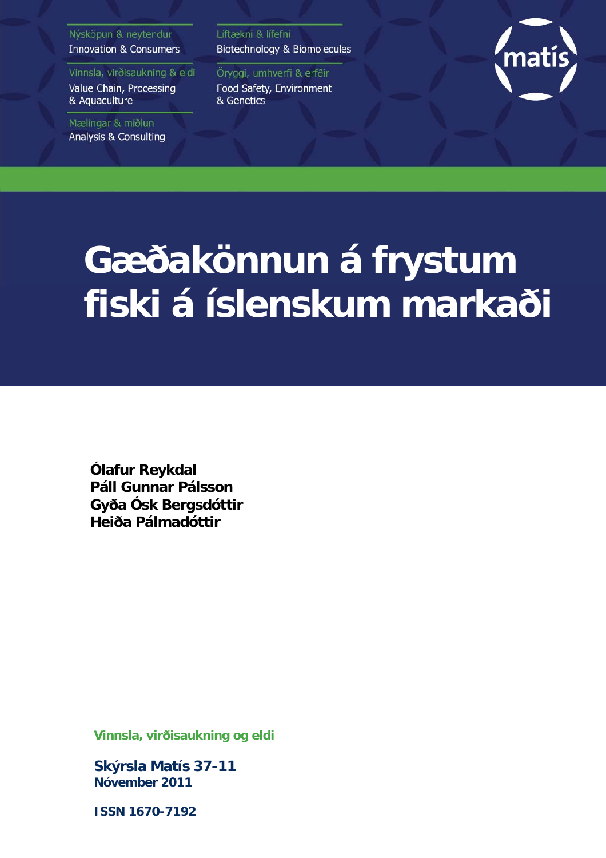#### Nýsköpun & neytendur **Innovation & Consumers**

Vinnsla, virðisaukning & eldi Value Chain, Processing & Aquaculture

Mælingar & miðlun **Analysis & Consulting**  Líftækni & lífefni Biotechnology & Biomolecules

Öryggi, umhverfi & erfðir Food Safety, Environment & Genetics



# **Gæðakönnun á frystum fiski á íslenskum markaði**

**Ólafur Reykdal Páll Gunnar Pálsson Gyða Ósk Bergsdóttir Heiða Pálmadóttir** 

**Vinnsla, virðisaukning og eldi** 

**Skýrsla Matís 37-11 Nóvember 2011** 

**ISSN 1670-7192**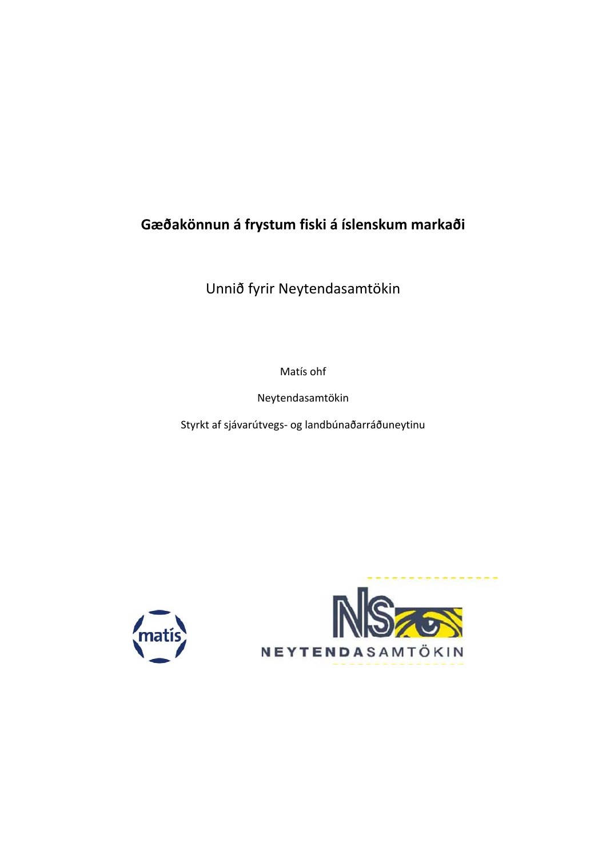**Gæðakönnun á frystum fiski á íslenskum markaði**

Unnið fyrir Neytendasamtökin

Matís ohf

Neytendasamtökin

Styrkt af sjávarútvegs‐ og landbúnaðarráðuneytinu



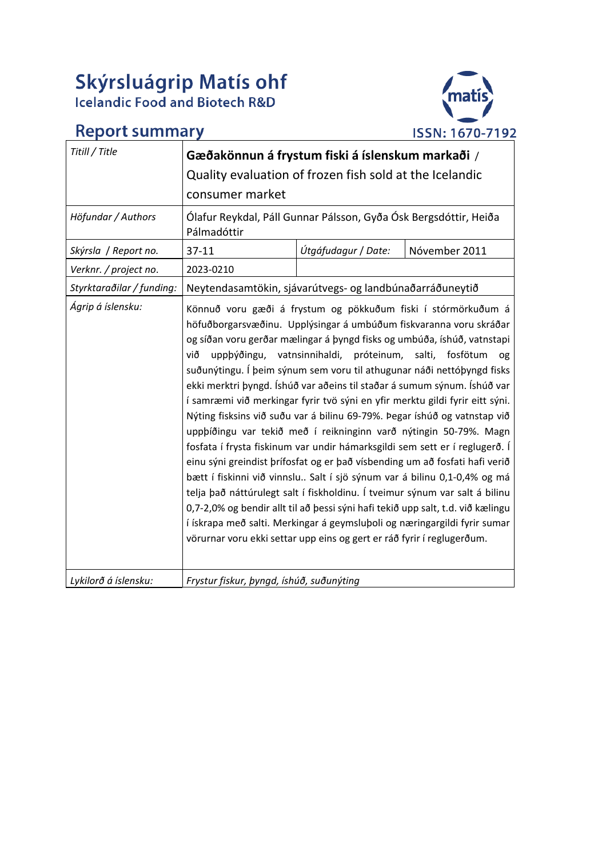# Skýrsluágrip Matís ohf<br>Icelandic Food and Biotech R&D

# **Report summary**



| Titill / Title            | Gæðakönnun á frystum fiski á íslenskum markaði /                                                                                                                                                                                                                                                                                                                                                                                                                                                                                                                                                                                                                                                                                                                                                                                                                                                                                                                                                                                                                                                                                                                                                                                                                                                                |                     |               |  |  |  |
|---------------------------|-----------------------------------------------------------------------------------------------------------------------------------------------------------------------------------------------------------------------------------------------------------------------------------------------------------------------------------------------------------------------------------------------------------------------------------------------------------------------------------------------------------------------------------------------------------------------------------------------------------------------------------------------------------------------------------------------------------------------------------------------------------------------------------------------------------------------------------------------------------------------------------------------------------------------------------------------------------------------------------------------------------------------------------------------------------------------------------------------------------------------------------------------------------------------------------------------------------------------------------------------------------------------------------------------------------------|---------------------|---------------|--|--|--|
|                           | Quality evaluation of frozen fish sold at the Icelandic                                                                                                                                                                                                                                                                                                                                                                                                                                                                                                                                                                                                                                                                                                                                                                                                                                                                                                                                                                                                                                                                                                                                                                                                                                                         |                     |               |  |  |  |
|                           | consumer market                                                                                                                                                                                                                                                                                                                                                                                                                                                                                                                                                                                                                                                                                                                                                                                                                                                                                                                                                                                                                                                                                                                                                                                                                                                                                                 |                     |               |  |  |  |
| Höfundar / Authors        | Ólafur Reykdal, Páll Gunnar Pálsson, Gyða Ósk Bergsdóttir, Heiða<br>Pálmadóttir                                                                                                                                                                                                                                                                                                                                                                                                                                                                                                                                                                                                                                                                                                                                                                                                                                                                                                                                                                                                                                                                                                                                                                                                                                 |                     |               |  |  |  |
| Skýrsla / Report no.      | $37 - 11$                                                                                                                                                                                                                                                                                                                                                                                                                                                                                                                                                                                                                                                                                                                                                                                                                                                                                                                                                                                                                                                                                                                                                                                                                                                                                                       | Útgáfudagur / Date: | Nóvember 2011 |  |  |  |
| Verknr. / project no.     | 2023-0210                                                                                                                                                                                                                                                                                                                                                                                                                                                                                                                                                                                                                                                                                                                                                                                                                                                                                                                                                                                                                                                                                                                                                                                                                                                                                                       |                     |               |  |  |  |
| Styrktaraðilar / funding: |                                                                                                                                                                                                                                                                                                                                                                                                                                                                                                                                                                                                                                                                                                                                                                                                                                                                                                                                                                                                                                                                                                                                                                                                                                                                                                                 |                     |               |  |  |  |
| Ágrip á íslensku:         | Neytendasamtökin, sjávarútvegs- og landbúnaðarráðuneytið<br>Könnuð voru gæði á frystum og pökkuðum fiski í stórmörkuðum á<br>höfuðborgarsvæðinu. Upplýsingar á umbúðum fiskvaranna voru skráðar<br>og síðan voru gerðar mælingar á þyngd fisks og umbúða, íshúð, vatnstapi<br>vatnsinnihaldi, próteinum, salti, fosfötum<br>við<br>uppþýðingu,<br>0g<br>suðunýtingu. Í þeim sýnum sem voru til athugunar náði nettóþyngd fisks<br>ekki merktri þyngd. Íshúð var aðeins til staðar á sumum sýnum. Íshúð var<br>í samræmi við merkingar fyrir tvö sýni en yfir merktu gildi fyrir eitt sýni.<br>Nýting fisksins við suðu var á bilinu 69-79%. Þegar íshúð og vatnstap við<br>uppþíðingu var tekið með í reikninginn varð nýtingin 50-79%. Magn<br>fosfata í frysta fiskinum var undir hámarksgildi sem sett er í reglugerð. Í<br>einu sýni greindist þrífosfat og er það vísbending um að fosfati hafi verið<br>bætt í fiskinni við vinnslu Salt í sjö sýnum var á bilinu 0,1-0,4% og má<br>telja það náttúrulegt salt í fiskholdinu. Í tveimur sýnum var salt á bilinu<br>0,7-2,0% og bendir allt til að þessi sýni hafi tekið upp salt, t.d. við kælingu<br>í ískrapa með salti. Merkingar á geymsluþoli og næringargildi fyrir sumar<br>vörurnar voru ekki settar upp eins og gert er ráð fyrir í reglugerðum. |                     |               |  |  |  |
| Lykilorð á íslensku:      | Frystur fiskur, þyngd, íshúð, suðunýting                                                                                                                                                                                                                                                                                                                                                                                                                                                                                                                                                                                                                                                                                                                                                                                                                                                                                                                                                                                                                                                                                                                                                                                                                                                                        |                     |               |  |  |  |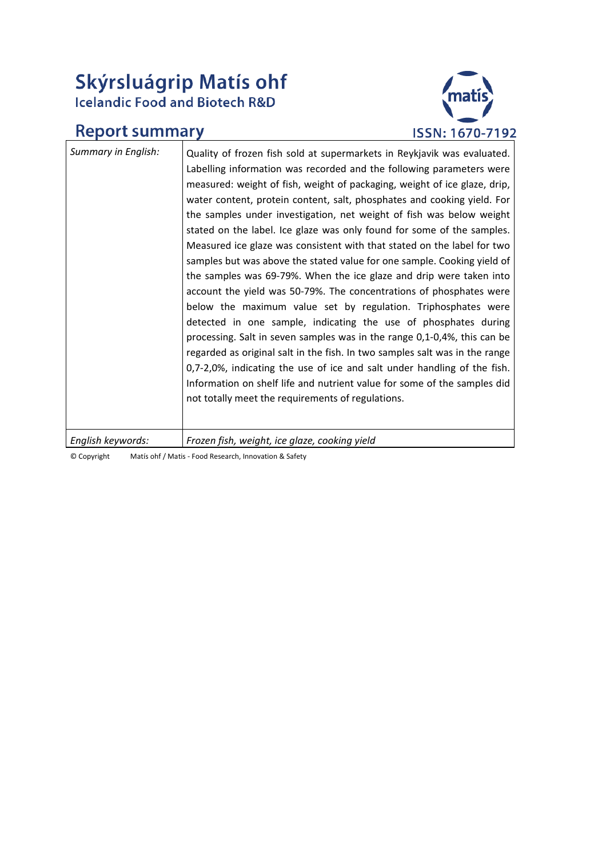# Skýrsluágrip Matís ohf<br>Icelandic Food and Biotech R&D

# **Report summary**



| Summary in English: | Quality of frozen fish sold at supermarkets in Reykjavik was evaluated.<br>Labelling information was recorded and the following parameters were<br>measured: weight of fish, weight of packaging, weight of ice glaze, drip,<br>water content, protein content, salt, phosphates and cooking yield. For<br>the samples under investigation, net weight of fish was below weight<br>stated on the label. Ice glaze was only found for some of the samples.<br>Measured ice glaze was consistent with that stated on the label for two<br>samples but was above the stated value for one sample. Cooking yield of<br>the samples was 69-79%. When the ice glaze and drip were taken into<br>account the yield was 50-79%. The concentrations of phosphates were<br>below the maximum value set by regulation. Triphosphates were<br>detected in one sample, indicating the use of phosphates during<br>processing. Salt in seven samples was in the range 0,1-0,4%, this can be<br>regarded as original salt in the fish. In two samples salt was in the range<br>0,7-2,0%, indicating the use of ice and salt under handling of the fish.<br>Information on shelf life and nutrient value for some of the samples did<br>not totally meet the requirements of regulations. |
|---------------------|---------------------------------------------------------------------------------------------------------------------------------------------------------------------------------------------------------------------------------------------------------------------------------------------------------------------------------------------------------------------------------------------------------------------------------------------------------------------------------------------------------------------------------------------------------------------------------------------------------------------------------------------------------------------------------------------------------------------------------------------------------------------------------------------------------------------------------------------------------------------------------------------------------------------------------------------------------------------------------------------------------------------------------------------------------------------------------------------------------------------------------------------------------------------------------------------------------------------------------------------------------------------------|
| English keywords:   | Frozen fish, weight, ice glaze, cooking yield                                                                                                                                                                                                                                                                                                                                                                                                                                                                                                                                                                                                                                                                                                                                                                                                                                                                                                                                                                                                                                                                                                                                                                                                                             |

© Copyright Matís ohf / Matis ‐ Food Research, Innovation & Safety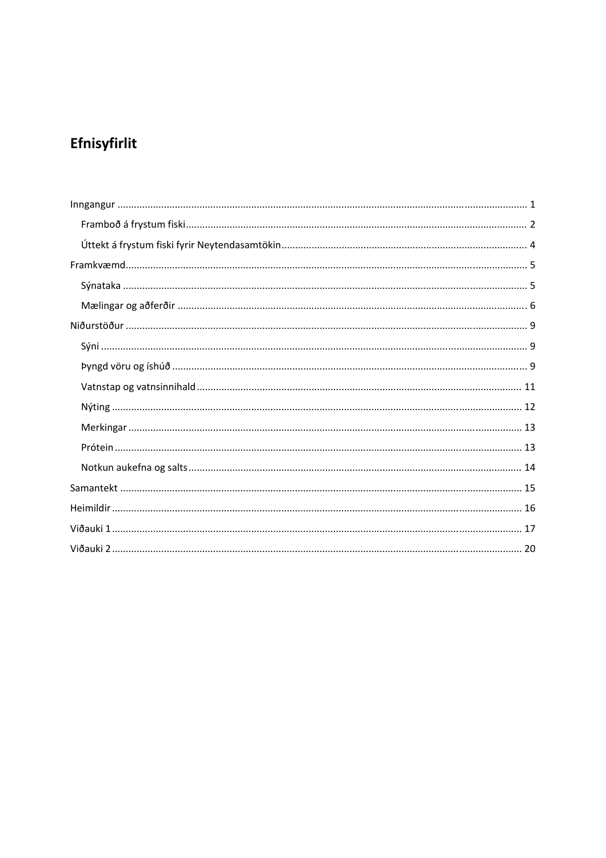# Efnisyfirlit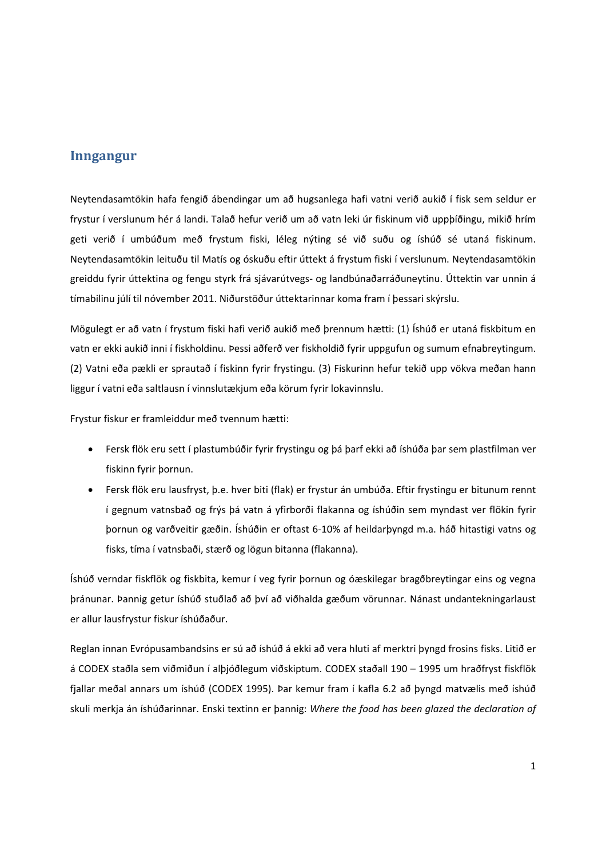#### **Inngangur**

Neytendasamtökin hafa fengið ábendingar um að hugsanlega hafi vatni verið aukið í fisk sem seldur er frystur í verslunum hér á landi. Talað hefur verið um að vatn leki úr fiskinum við uppþíðingu, mikið hrím geti verið í umbúðum með frystum fiski, léleg nýting sé við suðu og íshúð sé utaná fiskinum. Neytendasamtökin leituðu til Matís og óskuðu eftir úttekt á frystum fiski í verslunum. Neytendasamtökin greiddu fyrir úttektina og fengu styrk frá sjávarútvegs‐ og landbúnaðarráðuneytinu. Úttektin var unnin á tímabilinu júlí til nóvember 2011. Niðurstöður úttektarinnar koma fram í þessari skýrslu.

Mögulegt er að vatn í frystum fiski hafi verið aukið með þrennum hætti: (1) Íshúð er utaná fiskbitum en vatn er ekki aukið inni í fiskholdinu. Þessi aðferð ver fiskholdið fyrir uppgufun og sumum efnabreytingum. (2) Vatni eða pækli er sprautað í fiskinn fyrir frystingu. (3) Fiskurinn hefur tekið upp vökva meðan hann liggur í vatni eða saltlausn í vinnslutækjum eða körum fyrir lokavinnslu.

Frystur fiskur er framleiddur með tvennum hætti:

- Fersk flök eru sett í plastumbúðir fyrir frystingu og þá þarf ekki að íshúða þar sem plastfilman ver fiskinn fyrir þornun.
- Fersk flök eru lausfryst, þ.e. hver biti (flak) er frystur án umbúða. Eftir frystingu er bitunum rennt í gegnum vatnsbað og frýs þá vatn á yfirborði flakanna og íshúðin sem myndast ver flökin fyrir þornun og varðveitir gæðin. Íshúðin er oftast 6‐10% af heildarþyngd m.a. háð hitastigi vatns og fisks, tíma í vatnsbaði, stærð og lögun bitanna (flakanna).

Íshúð verndar fiskflök og fiskbita, kemur í veg fyrir þornun og óæskilegar bragðbreytingar eins og vegna þránunar. Þannig getur íshúð stuðlað að því að viðhalda gæðum vörunnar. Nánast undantekningarlaust er allur lausfrystur fiskur íshúðaður.

Reglan innan Evrópusambandsins er sú að íshúð á ekki að vera hluti af merktri þyngd frosins fisks. Litið er á CODEX staðla sem viðmiðun í alþjóðlegum viðskiptum. CODEX staðall 190 – 1995 um hraðfryst fiskflök fjallar meðal annars um íshúð (CODEX 1995). Þar kemur fram í kafla 6.2 að þyngd matvælis með íshúð skuli merkja án íshúðarinnar. Enski textinn er þannig: *Where the food has been glazed the declaration of*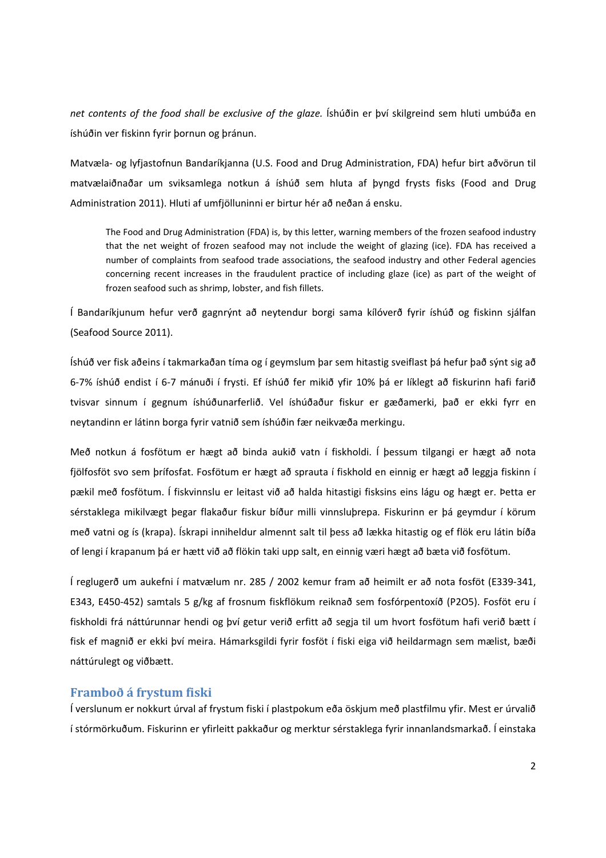*net contents of the food shall be exclusive of the glaze.* Íshúðin er því skilgreind sem hluti umbúða en íshúðin ver fiskinn fyrir þornun og þránun.

Matvæla‐ og lyfjastofnun Bandaríkjanna (U.S. Food and Drug Administration, FDA) hefur birt aðvörun til matvælaiðnaðar um sviksamlega notkun á íshúð sem hluta af þyngd frysts fisks (Food and Drug Administration 2011). Hluti af umfjölluninni er birtur hér að neðan á ensku.

The Food and Drug Administration (FDA) is, by this letter, warning members of the frozen seafood industry that the net weight of frozen seafood may not include the weight of glazing (ice). FDA has received a number of complaints from seafood trade associations, the seafood industry and other Federal agencies concerning recent increases in the fraudulent practice of including glaze (ice) as part of the weight of frozen seafood such as shrimp, lobster, and fish fillets.

Í Bandaríkjunum hefur verð gagnrýnt að neytendur borgi sama kílóverð fyrir íshúð og fiskinn sjálfan (Seafood Source 2011).

Íshúð ver fisk aðeins í takmarkaðan tíma og í geymslum þar sem hitastig sveiflast þá hefur það sýnt sig að 6‐7% íshúð endist í 6‐7 mánuði í frysti. Ef íshúð fer mikið yfir 10% þá er líklegt að fiskurinn hafi farið tvisvar sinnum í gegnum íshúðunarferlið. Vel íshúðaður fiskur er gæðamerki, það er ekki fyrr en neytandinn er látinn borga fyrir vatnið sem íshúðin fær neikvæða merkingu.

Með notkun á fosfötum er hægt að binda aukið vatn í fiskholdi. Í þessum tilgangi er hægt að nota fjölfosföt svo sem þrífosfat. Fosfötum er hægt að sprauta í fiskhold en einnig er hægt að leggja fiskinn í pækil með fosfötum. Í fiskvinnslu er leitast við að halda hitastigi fisksins eins lágu og hægt er. Þetta er sérstaklega mikilvægt þegar flakaður fiskur bíður milli vinnsluþrepa. Fiskurinn er þá geymdur í körum með vatni og ís (krapa). Ískrapi inniheldur almennt salt til þess að lækka hitastig og ef flök eru látin bíða of lengi í krapanum þá er hætt við að flökin taki upp salt, en einnig væri hægt að bæta við fosfötum.

Í reglugerð um aukefni í matvælum nr. 285 / 2002 kemur fram að heimilt er að nota fosföt (E339‐341, E343, E450‐452) samtals 5 g/kg af frosnum fiskflökum reiknað sem fosfórpentoxíð (P2O5). Fosföt eru í fiskholdi frá náttúrunnar hendi og því getur verið erfitt að segja til um hvort fosfötum hafi verið bætt í fisk ef magnið er ekki því meira. Hámarksgildi fyrir fosföt í fiski eiga við heildarmagn sem mælist, bæði náttúrulegt og viðbætt.

#### **Framboð á frystum fiski**

Í verslunum er nokkurt úrval af frystum fiski í plastpokum eða öskjum með plastfilmu yfir. Mest er úrvalið í stórmörkuðum. Fiskurinn er yfirleitt pakkaður og merktur sérstaklega fyrir innanlandsmarkað. Í einstaka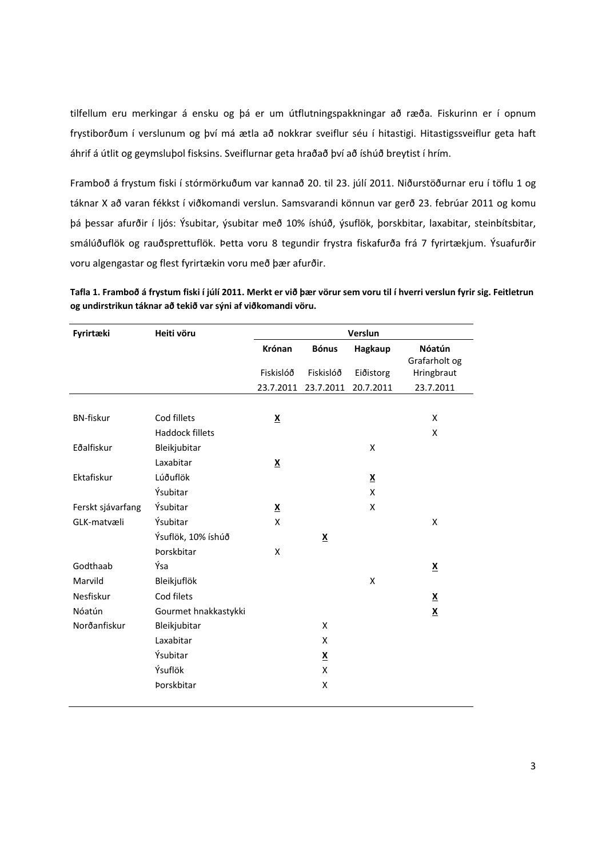tilfellum eru merkingar á ensku og þá er um útflutningspakkningar að ræða. Fiskurinn er í opnum frystiborðum í verslunum og því má ætla að nokkrar sveiflur séu í hitastigi. Hitastigssveiflur geta haft áhrif á útlit og geymsluþol fisksins. Sveiflurnar geta hraðað því að íshúð breytist í hrím.

Framboð á frystum fiski í stórmörkuðum var kannað 20. til 23. júlí 2011. Niðurstöðurnar eru í töflu 1 og táknar X að varan fékkst í viðkomandi verslun. Samsvarandi könnun var gerð 23. febrúar 2011 og komu þá þessar afurðir í ljós: Ýsubitar, ýsubitar með 10% íshúð, ýsuflök, þorskbitar, laxabitar, steinbítsbitar, smálúðuflök og rauðsprettuflök. Þetta voru 8 tegundir frystra fiskafurða frá 7 fyrirtækjum. Ýsuafurðir voru algengastar og flest fyrirtækin voru með þær afurðir.

|                                                              | Tafla 1. Framboð á frystum fiski í júlí 2011. Merkt er við þær vörur sem voru til í hverri verslun fyrir sig. Feitletrun |
|--------------------------------------------------------------|--------------------------------------------------------------------------------------------------------------------------|
| og undirstrikun táknar að tekið var sýni af viðkomandi vöru. |                                                                                                                          |

| Fyrirtæki         | Heiti vöru             | Verslun                  |                          |                          |                          |  |
|-------------------|------------------------|--------------------------|--------------------------|--------------------------|--------------------------|--|
|                   |                        | Krónan                   | <b>Bónus</b>             | Hagkaup                  | Nóatún                   |  |
|                   |                        |                          |                          |                          | Grafarholt og            |  |
|                   |                        | Fiskislóð                | Fiskislóð                | Eiðistorg                | Hringbraut               |  |
|                   |                        | 23.7.2011                | 23.7.2011                | 20.7.2011                | 23.7.2011                |  |
|                   |                        |                          |                          |                          |                          |  |
| <b>BN-fiskur</b>  | Cod fillets            | $\underline{\mathsf{X}}$ |                          |                          | X                        |  |
|                   | <b>Haddock fillets</b> |                          |                          |                          | X                        |  |
| Eðalfiskur        | Bleikjubitar           |                          |                          | X                        |                          |  |
|                   | Laxabitar              | $\underline{\mathsf{X}}$ |                          |                          |                          |  |
| Ektafiskur        | Lúðuflök               |                          |                          | $\underline{\mathbf{X}}$ |                          |  |
|                   | Ýsubitar               |                          |                          | Χ                        |                          |  |
| Ferskt sjávarfang | Ýsubitar               | $\underline{\mathsf{X}}$ |                          | χ                        |                          |  |
| GLK-matvæli       | Ýsubitar               | X                        |                          |                          | X                        |  |
|                   | Ýsuflök, 10% íshúð     |                          | $\underline{\mathsf{X}}$ |                          |                          |  |
|                   | Þorskbitar             | Χ                        |                          |                          |                          |  |
| Godthaab          | Ýsa                    |                          |                          |                          | $\underline{\mathsf{X}}$ |  |
| Marvild           | Bleikjuflök            |                          |                          | X                        |                          |  |
| Nesfiskur         | Cod filets             |                          |                          |                          | $\underline{\textbf{x}}$ |  |
| Nóatún            | Gourmet hnakkastykki   |                          |                          |                          | $\underline{\mathsf{X}}$ |  |
| Norðanfiskur      | Bleikjubitar           |                          | X                        |                          |                          |  |
|                   | Laxabitar              |                          | X                        |                          |                          |  |
|                   | Ýsubitar               |                          | $\underline{\mathbf{X}}$ |                          |                          |  |
|                   | Ýsuflök                |                          | X                        |                          |                          |  |
|                   | Þorskbitar             |                          | Χ                        |                          |                          |  |
|                   |                        |                          |                          |                          |                          |  |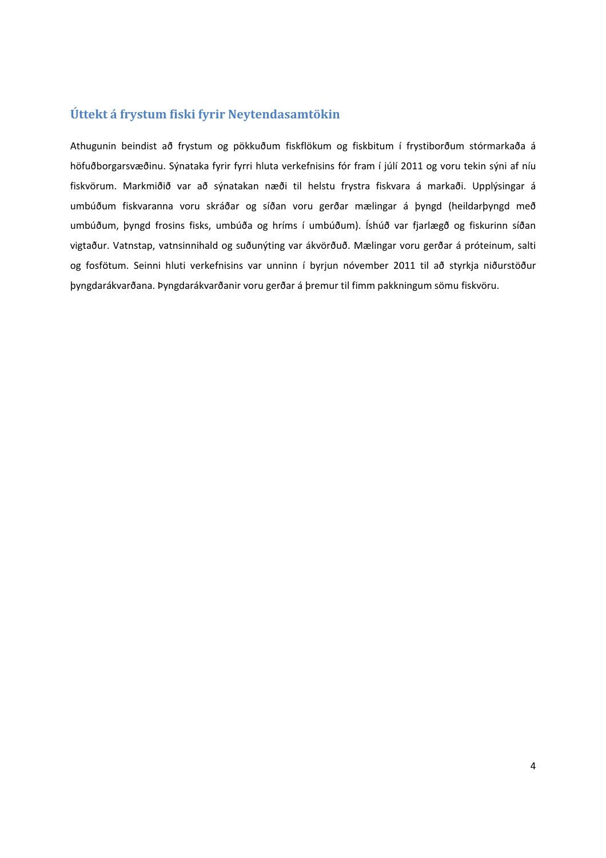### **Úttekt á frystum fiski fyrir Neytendasamtökin**

Athugunin beindist að frystum og pökkuðum fiskflökum og fiskbitum í frystiborðum stórmarkaða á höfuðborgarsvæðinu. Sýnataka fyrir fyrri hluta verkefnisins fór fram í júlí 2011 og voru tekin sýni af níu fiskvörum. Markmiðið var að sýnatakan næði til helstu frystra fiskvara á markaði. Upplýsingar á umbúðum fiskvaranna voru skráðar og síðan voru gerðar mælingar á þyngd (heildarþyngd með umbúðum, þyngd frosins fisks, umbúða og hríms í umbúðum). Íshúð var fjarlægð og fiskurinn síðan vigtaður. Vatnstap, vatnsinnihald og suðunýting var ákvörðuð. Mælingar voru gerðar á próteinum, salti og fosfötum. Seinni hluti verkefnisins var unninn í byrjun nóvember 2011 til að styrkja niðurstöður þyngdarákvarðana. Þyngdarákvarðanir voru gerðar á þremur til fimm pakkningum sömu fiskvöru.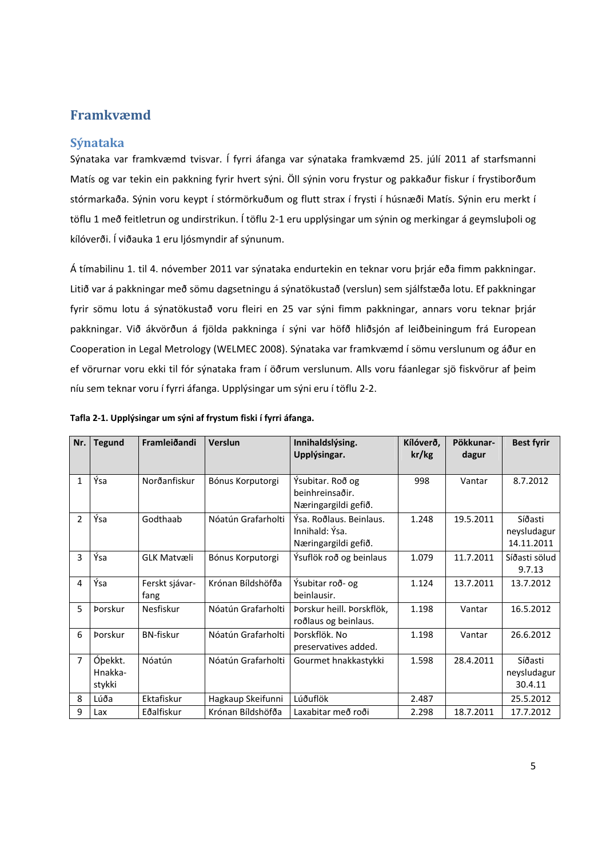## **Framkvæmd**

#### **Sýnataka**

Sýnataka var framkvæmd tvisvar. Í fyrri áfanga var sýnataka framkvæmd 25. júlí 2011 af starfsmanni Matís og var tekin ein pakkning fyrir hvert sýni. Öll sýnin voru frystur og pakkaður fiskur í frystiborðum stórmarkaða. Sýnin voru keypt í stórmörkuðum og flutt strax í frysti í húsnæði Matís. Sýnin eru merkt í töflu 1 með feitletrun og undirstrikun. Í töflu 2‐1 eru upplýsingar um sýnin og merkingar á geymsluþoli og kílóverði. Í viðauka 1 eru ljósmyndir af sýnunum.

Á tímabilinu 1. til 4. nóvember 2011 var sýnataka endurtekin en teknar voru þrjár eða fimm pakkningar. Litið var á pakkningar með sömu dagsetningu á sýnatökustað (verslun) sem sjálfstæða lotu. Ef pakkningar fyrir sömu lotu á sýnatökustað voru fleiri en 25 var sýni fimm pakkningar, annars voru teknar þrjár pakkningar. Við ákvörðun á fjölda pakkninga í sýni var höfð hliðsjón af leiðbeiningum frá European Cooperation in Legal Metrology (WELMEC 2008). Sýnataka var framkvæmd í sömu verslunum og áður en ef vörurnar voru ekki til fór sýnataka fram í öðrum verslunum. Alls voru fáanlegar sjö fiskvörur af þeim níu sem teknar voru í fyrri áfanga. Upplýsingar um sýni eru í töflu 2‐2.

| Nr.            | <b>Tegund</b>                | Framleiðandi           | Verslun            | Innihaldslýsing.                                                  | Kílóverð, | Pökkunar- | <b>Best fyrir</b>                    |
|----------------|------------------------------|------------------------|--------------------|-------------------------------------------------------------------|-----------|-----------|--------------------------------------|
|                |                              |                        |                    | Upplýsingar.                                                      | kr/kg     | dagur     |                                      |
|                |                              |                        |                    |                                                                   |           |           |                                      |
| $\mathbf{1}$   | Ýsa                          | Norðanfiskur           | Bónus Korputorgi   | Ýsubitar. Roð og<br>beinhreinsaðir.<br>Næringargildi gefið.       | 998       | Vantar    | 8.7.2012                             |
| $\overline{2}$ | Ýsa                          | Godthaab               | Nóatún Grafarholti | Ýsa. Roðlaus. Beinlaus.<br>Innihald: Ýsa.<br>Næringargildi gefið. | 1.248     | 19.5.2011 | Síðasti<br>neysludagur<br>14.11.2011 |
| 3              | Ýsa                          | <b>GLK Matvæli</b>     | Bónus Korputorgi   | Ýsuflök roð og beinlaus                                           | 1.079     | 11.7.2011 | Síðasti sölud<br>9.7.13              |
| 4              | Ýsa                          | Ferskt sjávar-<br>fang | Krónan Bíldshöfða  | Ýsubitar roð- og<br>beinlausir.                                   | 1.124     | 13.7.2011 | 13.7.2012                            |
| 5              | <b>Porskur</b>               | Nesfiskur              | Nóatún Grafarholti | Þorskur heill. Þorskflök,<br>roðlaus og beinlaus.                 | 1.198     | Vantar    | 16.5.2012                            |
| 6              | <b>Porskur</b>               | <b>BN-fiskur</b>       | Nóatún Grafarholti | Þorskflök. No<br>preservatives added.                             | 1.198     | Vantar    | 26.6.2012                            |
| 7              | Óþekkt.<br>Hnakka-<br>stykki | Nóatún                 | Nóatún Grafarholti | Gourmet hnakkastykki                                              | 1.598     | 28.4.2011 | Síðasti<br>neysludagur<br>30.4.11    |
| 8              | Lúða                         | Ektafiskur             | Hagkaup Skeifunni  | Lúðuflök                                                          | 2.487     |           | 25.5.2012                            |
| 9              | Lax                          | Eðalfiskur             | Krónan Bíldshöfða  | Laxabitar með roði                                                | 2.298     | 18.7.2011 | 17.7.2012                            |

#### **Tafla 2‐1. Upplýsingar um sýni af frystum fiski í fyrri áfanga.**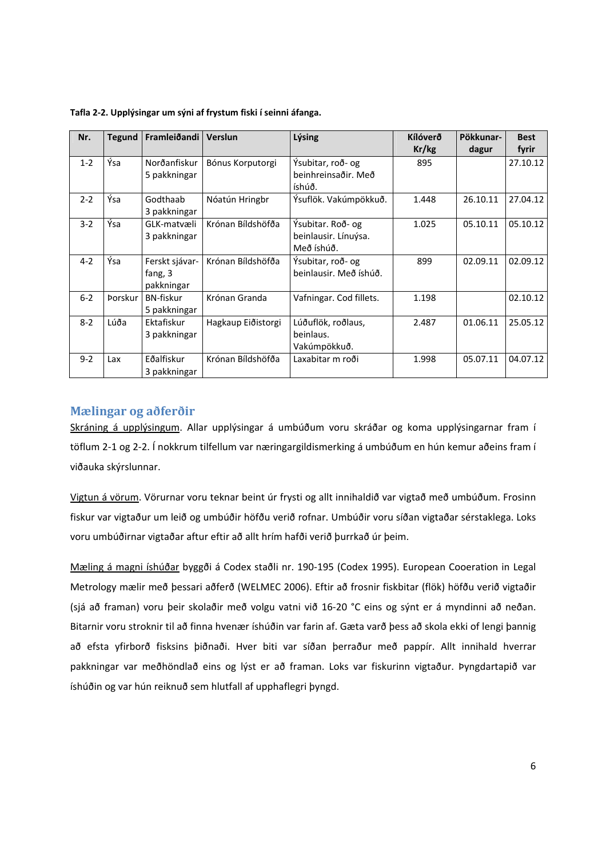| Nr.     | <b>Tegund</b>  | Framleiðandi                            | Verslun            | Lýsing                                                  | Kílóverð<br>Kr/kg | Pökkunar-<br>dagur | <b>Best</b><br>fyrir |
|---------|----------------|-----------------------------------------|--------------------|---------------------------------------------------------|-------------------|--------------------|----------------------|
| $1 - 2$ | Ýsa            | Norðanfiskur<br>5 pakkningar            | Bónus Korputorgi   | Ýsubitar, roð- og<br>beinhreinsaðir. Með<br>íshúð.      | 895               |                    | 27.10.12             |
| $2 - 2$ | Ýsa            | Godthaab<br>3 pakkningar                | Nóatún Hringbr     | Ýsuflök. Vakúmpökkuð.                                   | 1.448             | 26.10.11           | 27.04.12             |
| $3 - 2$ | Ýsa            | GLK-matvæli<br>3 pakkningar             | Krónan Bíldshöfða  | Ýsubitar. Roð- og<br>beinlausir. Línuýsa.<br>Með íshúð. | 1.025             | 05.10.11           | 05.10.12             |
| $4 - 2$ | Ýsa            | Ferskt sjávar-<br>fang, 3<br>pakkningar | Krónan Bíldshöfða  | Ýsubitar, roð- og<br>beinlausir. Með íshúð.             | 899               | 02.09.11           | 02.09.12             |
| $6 - 2$ | <b>Porskur</b> | <b>BN-fiskur</b><br>5 pakkningar        | Krónan Granda      | Vafningar. Cod fillets.                                 | 1.198             |                    | 02.10.12             |
| $8 - 2$ | Lúða           | Ektafiskur<br>3 pakkningar              | Hagkaup Eiðistorgi | Lúðuflök, roðlaus,<br>beinlaus.<br>Vakúmpökkuð.         | 2.487             | 01.06.11           | 25.05.12             |
| $9 - 2$ | Lax            | Eðalfiskur<br>3 pakkningar              | Krónan Bíldshöfða  | Laxabitar m roði                                        | 1.998             | 05.07.11           | 04.07.12             |

**Tafla 2‐2. Upplýsingar um sýni af frystum fiski í seinni áfanga.** 

#### **Mælingar og aðferðir**

Skráning á upplýsingum. Allar upplýsingar á umbúðum voru skráðar og koma upplýsingarnar fram í töflum 2‐1 og 2‐2. Í nokkrum tilfellum var næringargildismerking á umbúðum en hún kemur aðeins fram í viðauka skýrslunnar.

Vigtun á vörum. Vörurnar voru teknar beint úr frysti og allt innihaldið var vigtað með umbúðum. Frosinn fiskur var vigtaður um leið og umbúðir höfðu verið rofnar. Umbúðir voru síðan vigtaðar sérstaklega. Loks voru umbúðirnar vigtaðar aftur eftir að allt hrím hafði verið þurrkað úr þeim.

Mæling á magni íshúðar byggði á Codex staðli nr. 190‐195 (Codex 1995). European Cooeration in Legal Metrology mælir með þessari aðferð (WELMEC 2006). Eftir að frosnir fiskbitar (flök) höfðu verið vigtaðir (sjá að framan) voru þeir skolaðir með volgu vatni við 16‐20 °C eins og sýnt er á myndinni að neðan. Bitarnir voru stroknir til að finna hvenær íshúðin var farin af. Gæta varð þess að skola ekki of lengi þannig að efsta yfirborð fisksins þiðnaði. Hver biti var síðan þerraður með pappír. Allt innihald hverrar pakkningar var meðhöndlað eins og lýst er að framan. Loks var fiskurinn vigtaður. Þyngdartapið var íshúðin og var hún reiknuð sem hlutfall af upphaflegri þyngd.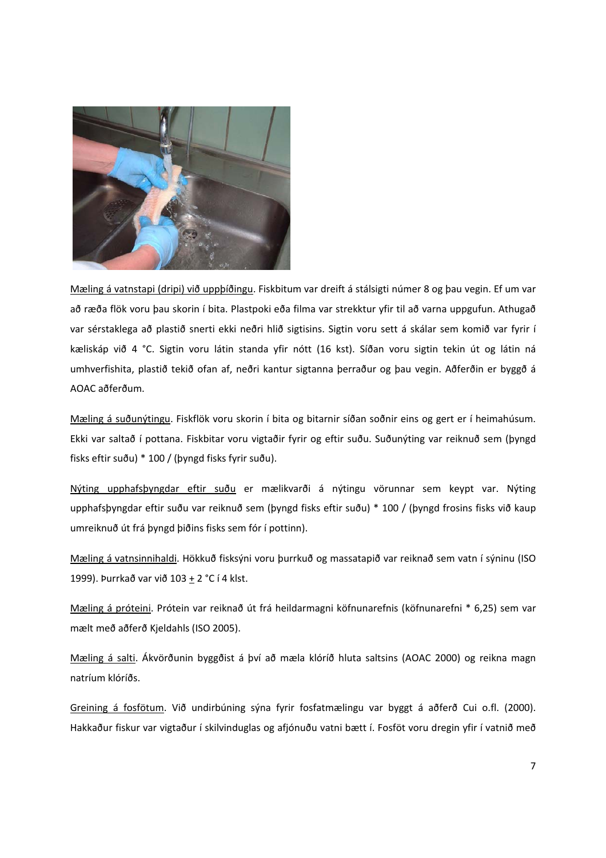

Mæling á vatnstapi (dripi) við uppþíðingu. Fiskbitum var dreift á stálsigti númer 8 og þau vegin. Ef um var að ræða flök voru þau skorin í bita. Plastpoki eða filma var strekktur yfir til að varna uppgufun. Athugað var sérstaklega að plastið snerti ekki neðri hlið sigtisins. Sigtin voru sett á skálar sem komið var fyrir í kæliskáp við 4 °C. Sigtin voru látin standa yfir nótt (16 kst). Síðan voru sigtin tekin út og látin ná umhverfishita, plastið tekið ofan af, neðri kantur sigtanna þerraður og þau vegin. Aðferðin er byggð á AOAC aðferðum.

Mæling á suðunýtingu. Fiskflök voru skorin í bita og bitarnir síðan soðnir eins og gert er í heimahúsum. Ekki var saltað í pottana. Fiskbitar voru vigtaðir fyrir og eftir suðu. Suðunýting var reiknuð sem (þyngd fisks eftir suðu) \* 100 / (þyngd fisks fyrir suðu).

Nýting upphafsþyngdar eftir suðu er mælikvarði á nýtingu vörunnar sem keypt var. Nýting upphafsþyngdar eftir suðu var reiknuð sem (þyngd fisks eftir suðu) \* 100 / (þyngd frosins fisks við kaup umreiknuð út frá þyngd þiðins fisks sem fór í pottinn).

Mæling á vatnsinnihaldi. Hökkuð fisksýni voru þurrkuð og massatapið var reiknað sem vatn í sýninu (ISO 1999). Þurrkað var við 103 + 2 °C í 4 klst.

Mæling á próteini. Prótein var reiknað út frá heildarmagni köfnunarefnis (köfnunarefni \* 6,25) sem var mælt með aðferð Kjeldahls (ISO 2005).

Mæling á salti. Ákvörðunin byggðist á því að mæla klóríð hluta saltsins (AOAC 2000) og reikna magn natríum klóríðs.

Greining á fosfötum. Við undirbúning sýna fyrir fosfatmælingu var byggt á aðferð Cui o.fl. (2000). Hakkaður fiskur var vigtaður í skilvinduglas og afjónuðu vatni bætt í. Fosföt voru dregin yfir í vatnið með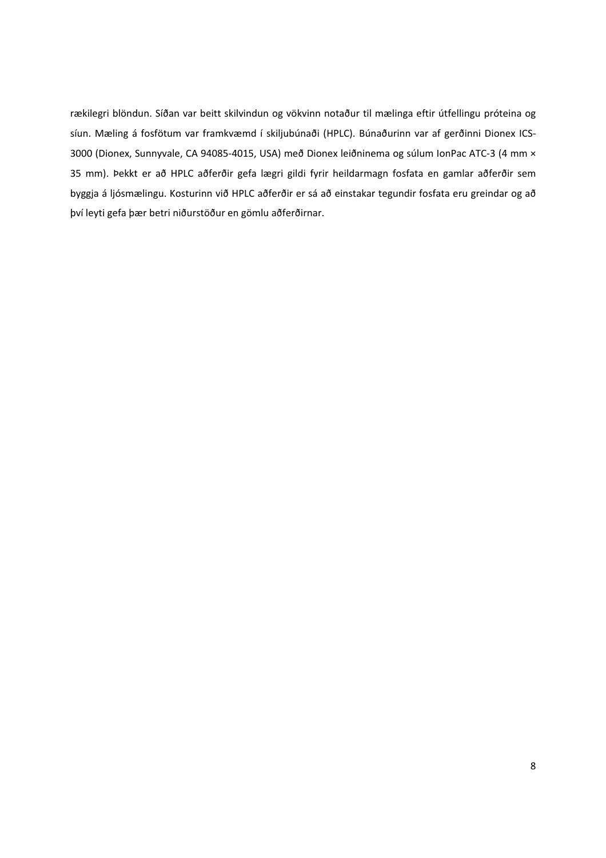rækilegri blöndun. Síðan var beitt skilvindun og vökvinn notaður til mælinga eftir útfellingu próteina og síun. Mæling á fosfötum var framkvæmd í skiljubúnaði (HPLC). Búnaðurinn var af gerðinni Dionex ICS‐ 3000 (Dionex, Sunnyvale, CA 94085‐4015, USA) með Dionex leiðninema og súlum IonPac ATC‐3 (4 mm × 35 mm). Þekkt er að HPLC aðferðir gefa lægri gildi fyrir heildarmagn fosfata en gamlar aðferðir sem byggja á ljósmælingu. Kosturinn við HPLC aðferðir er sá að einstakar tegundir fosfata eru greindar og að því leyti gefa þær betri niðurstöður en gömlu aðferðirnar.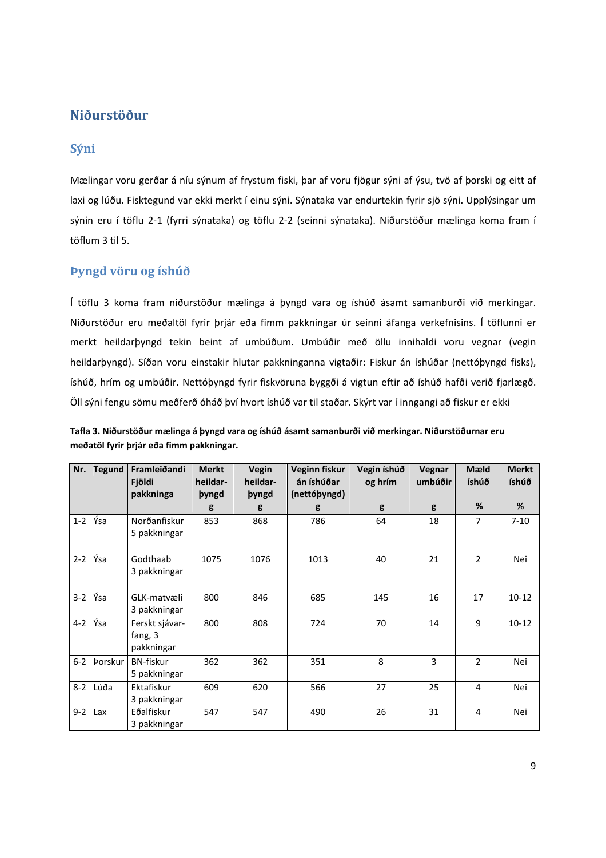### **Niðurstöður**

#### **Sýni**

Mælingar voru gerðar á níu sýnum af frystum fiski, þar af voru fjögur sýni af ýsu, tvö af þorski og eitt af laxi og lúðu. Fisktegund var ekki merkt í einu sýni. Sýnataka var endurtekin fyrir sjö sýni. Upplýsingar um sýnin eru í töflu 2‐1 (fyrri sýnataka) og töflu 2‐2 (seinni sýnataka). Niðurstöður mælinga koma fram í töflum 3 til 5.

#### **Þyngd vöru og íshúð**

Í töflu 3 koma fram niðurstöður mælinga á þyngd vara og íshúð ásamt samanburði við merkingar. Niðurstöður eru meðaltöl fyrir þrjár eða fimm pakkningar úr seinni áfanga verkefnisins. Í töflunni er merkt heildarþyngd tekin beint af umbúðum. Umbúðir með öllu innihaldi voru vegnar (vegin heildarþyngd). Síðan voru einstakir hlutar pakkninganna vigtaðir: Fiskur án íshúðar (nettóþyngd fisks), íshúð, hrím og umbúðir. Nettóþyngd fyrir fiskvöruna byggði á vigtun eftir að íshúð hafði verið fjarlægð. Öll sýni fengu sömu meðferð óháð því hvort íshúð var til staðar. Skýrt var í inngangi að fiskur er ekki

| Nr.     | <b>Tegund</b> | Framleiðandi<br>Fjöldi<br>pakkninga     | <b>Merkt</b><br>heildar-<br><b>byngd</b> | Vegin<br>heildar-<br><b>byngd</b> | Veginn fiskur<br>án íshúðar<br>(nettóþyngd) | Vegin íshúð<br>og hrím | Vegnar<br>umbúðir | Mæld<br>íshúð  | <b>Merkt</b><br>íshúð |
|---------|---------------|-----------------------------------------|------------------------------------------|-----------------------------------|---------------------------------------------|------------------------|-------------------|----------------|-----------------------|
|         |               |                                         | g                                        | g                                 | g                                           | g                      | g                 | %              | %                     |
| $1 - 2$ | Ýsa           | Norðanfiskur<br>5 pakkningar            | 853                                      | 868                               | 786                                         | 64                     | 18                | 7              | $7 - 10$              |
| $2 - 2$ | Ýsa           | Godthaab<br>3 pakkningar                | 1075                                     | 1076                              | 1013                                        | 40                     | 21                | 2              | Nei                   |
| $3-2$   | Ýsa           | GLK-matvæli<br>3 pakkningar             | 800                                      | 846                               | 685                                         | 145                    | 16                | 17             | $10-12$               |
| $4 - 2$ | Ýsa           | Ferskt sjávar-<br>fang, 3<br>pakkningar | 800                                      | 808                               | 724                                         | 70                     | 14                | 9              | $10 - 12$             |
| $6 - 2$ | Þorskur       | <b>BN-fiskur</b><br>5 pakkningar        | 362                                      | 362                               | 351                                         | 8                      | 3                 | $\mathfrak{p}$ | Nei                   |
| $8 - 2$ | Lúða          | Ektafiskur<br>3 pakkningar              | 609                                      | 620                               | 566                                         | 27                     | 25                | 4              | Nei                   |
| $9 - 2$ | Lax           | Eðalfiskur<br>3 pakkningar              | 547                                      | 547                               | 490                                         | 26                     | 31                | 4              | Nei                   |

| Tafla 3. Niðurstöður mælinga á þyngd vara og íshúð ásamt samanburði við merkingar. Niðurstöðurnar eru |  |
|-------------------------------------------------------------------------------------------------------|--|
| meðatöl fyrir þrjár eða fimm pakkningar.                                                              |  |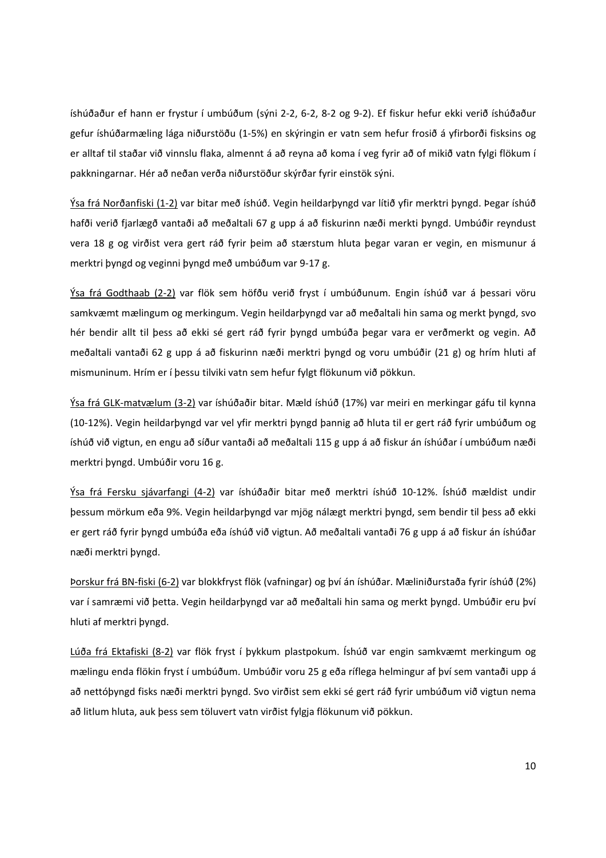íshúðaður ef hann er frystur í umbúðum (sýni 2‐2, 6‐2, 8‐2 og 9‐2). Ef fiskur hefur ekki verið íshúðaður gefur íshúðarmæling lága niðurstöðu (1‐5%) en skýringin er vatn sem hefur frosið á yfirborði fisksins og er alltaf til staðar við vinnslu flaka, almennt á að reyna að koma í veg fyrir að of mikið vatn fylgi flökum í pakkningarnar. Hér að neðan verða niðurstöður skýrðar fyrir einstök sýni.

Ýsa frá Norðanfiski (1‐2) var bitar með íshúð. Vegin heildarþyngd var lítið yfir merktri þyngd. Þegar íshúð hafði verið fjarlægð vantaði að meðaltali 67 g upp á að fiskurinn næði merkti þyngd. Umbúðir reyndust vera 18 g og virðist vera gert ráð fyrir þeim að stærstum hluta þegar varan er vegin, en mismunur á merktri þyngd og veginni þyngd með umbúðum var 9‐17 g.

Ýsa frá Godthaab (2‐2) var flök sem höfðu verið fryst í umbúðunum. Engin íshúð var á þessari vöru samkvæmt mælingum og merkingum. Vegin heildarþyngd var að meðaltali hin sama og merkt þyngd, svo hér bendir allt til þess að ekki sé gert ráð fyrir þyngd umbúða þegar vara er verðmerkt og vegin. Að meðaltali vantaði 62 g upp á að fiskurinn næði merktri þyngd og voru umbúðir (21 g) og hrím hluti af mismuninum. Hrím er í þessu tilviki vatn sem hefur fylgt flökunum við pökkun.

Ýsa frá GLK‐matvælum (3‐2) var íshúðaðir bitar. Mæld íshúð (17%) var meiri en merkingar gáfu til kynna (10‐12%). Vegin heildarþyngd var vel yfir merktri þyngd þannig að hluta til er gert ráð fyrir umbúðum og íshúð við vigtun, en engu að síður vantaði að meðaltali 115 g upp á að fiskur án íshúðar í umbúðum næði merktri þyngd. Umbúðir voru 16 g.

Ýsa frá Fersku sjávarfangi (4‐2) var íshúðaðir bitar með merktri íshúð 10‐12%. Íshúð mældist undir þessum mörkum eða 9%. Vegin heildarþyngd var mjög nálægt merktri þyngd, sem bendir til þess að ekki er gert ráð fyrir þyngd umbúða eða íshúð við vigtun. Að meðaltali vantaði 76 g upp á að fiskur án íshúðar næði merktri þyngd.

Þorskur frá BN‐fiski (6‐2) var blokkfryst flök (vafningar) og því án íshúðar. Mæliniðurstaða fyrir íshúð (2%) var í samræmi við þetta. Vegin heildarþyngd var að meðaltali hin sama og merkt þyngd. Umbúðir eru því hluti af merktri þyngd.

Lúða frá Ektafiski (8‐2) var flök fryst í þykkum plastpokum. Íshúð var engin samkvæmt merkingum og mælingu enda flökin fryst í umbúðum. Umbúðir voru 25 g eða ríflega helmingur af því sem vantaði upp á að nettóþyngd fisks næði merktri þyngd. Svo virðist sem ekki sé gert ráð fyrir umbúðum við vigtun nema að litlum hluta, auk þess sem töluvert vatn virðist fylgja flökunum við pökkun.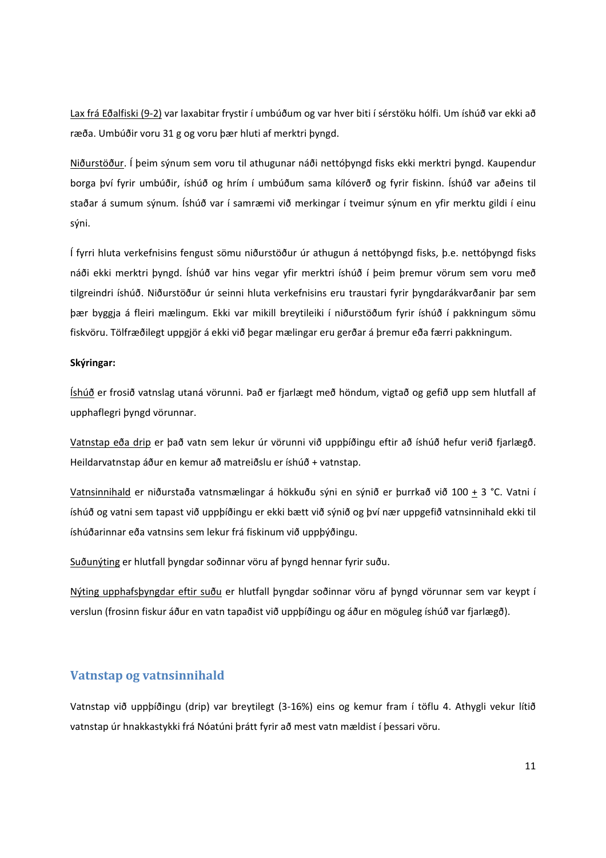Lax frá Eðalfiski (9‐2) var laxabitar frystir í umbúðum og var hver biti í sérstöku hólfi. Um íshúð var ekki að ræða. Umbúðir voru 31 g og voru þær hluti af merktri þyngd.

Niðurstöður. Í þeim sýnum sem voru til athugunar náði nettóþyngd fisks ekki merktri þyngd. Kaupendur borga því fyrir umbúðir, íshúð og hrím í umbúðum sama kílóverð og fyrir fiskinn. Íshúð var aðeins til staðar á sumum sýnum. Íshúð var í samræmi við merkingar í tveimur sýnum en yfir merktu gildi í einu sýni.

Í fyrri hluta verkefnisins fengust sömu niðurstöður úr athugun á nettóþyngd fisks, þ.e. nettóþyngd fisks náði ekki merktri þyngd. Íshúð var hins vegar yfir merktri íshúð í þeim þremur vörum sem voru með tilgreindri íshúð. Niðurstöður úr seinni hluta verkefnisins eru traustari fyrir þyngdarákvarðanir þar sem þær byggja á fleiri mælingum. Ekki var mikill breytileiki í niðurstöðum fyrir íshúð í pakkningum sömu fiskvöru. Tölfræðilegt uppgjör á ekki við þegar mælingar eru gerðar á þremur eða færri pakkningum.

#### **Skýringar:**

Íshúð er frosið vatnslag utaná vörunni. Það er fjarlægt með höndum, vigtað og gefið upp sem hlutfall af upphaflegri þyngd vörunnar.

Vatnstap eða drip er það vatn sem lekur úr vörunni við uppþíðingu eftir að íshúð hefur verið fjarlægð. Heildarvatnstap áður en kemur að matreiðslu er íshúð + vatnstap.

Vatnsinnihald er niðurstaða vatnsmælingar á hökkuðu sýni en sýnið er þurrkað við 100 + 3 °C. Vatni í íshúð og vatni sem tapast við uppþíðingu er ekki bætt við sýnið og því nær uppgefið vatnsinnihald ekki til íshúðarinnar eða vatnsins sem lekur frá fiskinum við uppþýðingu.

Suðunýting er hlutfall þyngdar soðinnar vöru af þyngd hennar fyrir suðu.

Nýting upphafsþyngdar eftir suðu er hlutfall þyngdar soðinnar vöru af þyngd vörunnar sem var keypt í verslun (frosinn fiskur áður en vatn tapaðist við uppþíðingu og áður en möguleg íshúð var fjarlægð).

#### **Vatnstap og vatnsinnihald**

Vatnstap við uppþíðingu (drip) var breytilegt (3‐16%) eins og kemur fram í töflu 4. Athygli vekur lítið vatnstap úr hnakkastykki frá Nóatúni þrátt fyrir að mest vatn mældist í þessari vöru.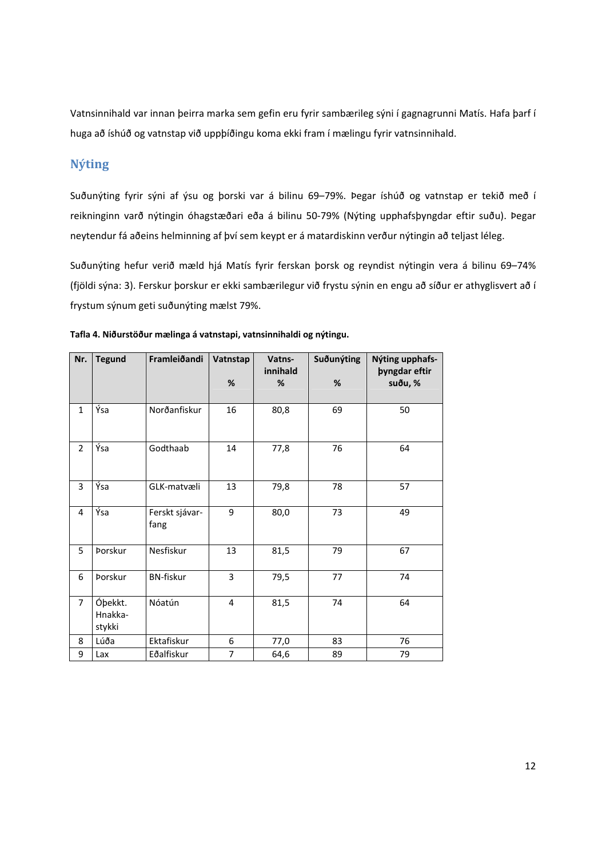Vatnsinnihald var innan þeirra marka sem gefin eru fyrir sambærileg sýni í gagnagrunni Matís. Hafa þarf í huga að íshúð og vatnstap við uppþíðingu koma ekki fram í mælingu fyrir vatnsinnihald.

## **Nýting**

Suðunýting fyrir sýni af ýsu og þorski var á bilinu 69–79%. Þegar íshúð og vatnstap er tekið með í reikninginn varð nýtingin óhagstæðari eða á bilinu 50‐79% (Nýting upphafsþyngdar eftir suðu). Þegar neytendur fá aðeins helminning af því sem keypt er á matardiskinn verður nýtingin að teljast léleg.

Suðunýting hefur verið mæld hjá Matís fyrir ferskan þorsk og reyndist nýtingin vera á bilinu 69–74% (fjöldi sýna: 3). Ferskur þorskur er ekki sambærilegur við frystu sýnin en engu að síður er athyglisvert að í frystum sýnum geti suðunýting mælst 79%.

| Nr.            | <b>Tegund</b>                | Framleiðandi           | Vatnstap<br>$\%$ | Vatns-<br>innihald<br>% | Suðunýting<br>$\%$ | Nýting upphafs-<br><b>byngdar eftir</b><br>suðu, % |
|----------------|------------------------------|------------------------|------------------|-------------------------|--------------------|----------------------------------------------------|
| $\mathbf{1}$   | Ýsa                          | Norðanfiskur           | 16               | 80,8                    | 69                 | 50                                                 |
| $\overline{2}$ | Ýsa                          | Godthaab               | 14               | 77,8                    | 76                 | 64                                                 |
| 3              | Ýsa                          | GLK-matvæli            | 13               | 79,8                    | 78                 | 57                                                 |
| 4              | Ýsa                          | Ferskt sjávar-<br>fang | 9                | 80,0                    | 73                 | 49                                                 |
| 5              | <b>Porskur</b>               | Nesfiskur              | 13               | 81,5                    | 79                 | 67                                                 |
| 6              | Þorskur                      | <b>BN-fiskur</b>       | 3                | 79,5                    | 77                 | 74                                                 |
| $\overline{7}$ | Óþekkt.<br>Hnakka-<br>stykki | Nóatún                 | $\overline{4}$   | 81,5                    | 74                 | 64                                                 |
| 8              | Lúða                         | Ektafiskur             | 6                | 77,0                    | 83                 | 76                                                 |
| 9              | Lax                          | Eðalfiskur             | 7                | 64,6                    | 89                 | 79                                                 |

| Tafla 4. Niðurstöður mælinga á vatnstapi, vatnsinnihaldi og nýtingu. |  |
|----------------------------------------------------------------------|--|
|----------------------------------------------------------------------|--|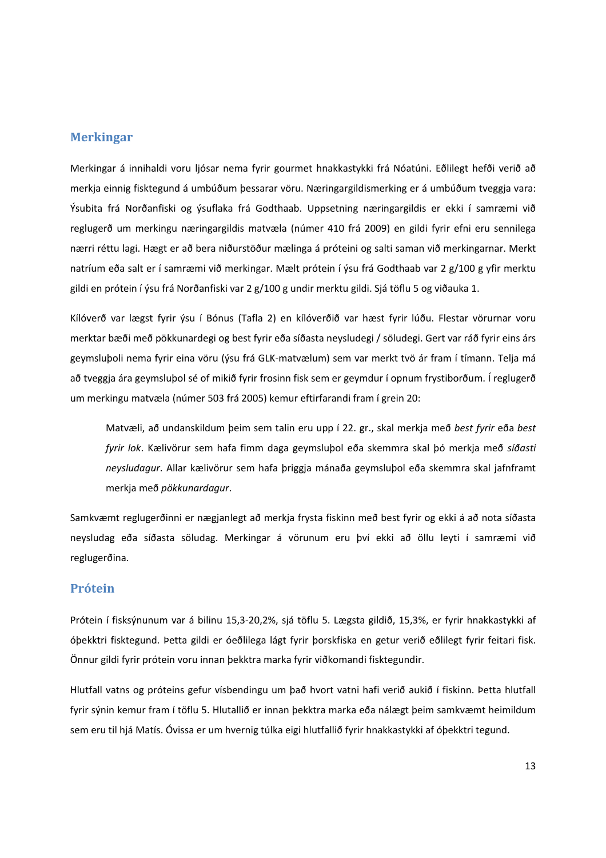#### **Merkingar**

Merkingar á innihaldi voru ljósar nema fyrir gourmet hnakkastykki frá Nóatúni. Eðlilegt hefði verið að merkja einnig fisktegund á umbúðum þessarar vöru. Næringargildismerking er á umbúðum tveggja vara: Ýsubita frá Norðanfiski og ýsuflaka frá Godthaab. Uppsetning næringargildis er ekki í samræmi við reglugerð um merkingu næringargildis matvæla (númer 410 frá 2009) en gildi fyrir efni eru sennilega nærri réttu lagi. Hægt er að bera niðurstöður mælinga á próteini og salti saman við merkingarnar. Merkt natríum eða salt er í samræmi við merkingar. Mælt prótein í ýsu frá Godthaab var 2 g/100 g yfir merktu gildi en prótein í ýsu frá Norðanfiski var 2 g/100 g undir merktu gildi. Sjá töflu 5 og viðauka 1.

Kílóverð var lægst fyrir ýsu í Bónus (Tafla 2) en kílóverðið var hæst fyrir lúðu. Flestar vörurnar voru merktar bæði með pökkunardegi og best fyrir eða síðasta neysludegi / söludegi. Gert var ráð fyrir eins árs geymsluþoli nema fyrir eina vöru (ýsu frá GLK‐matvælum) sem var merkt tvö ár fram í tímann. Telja má að tveggja ára geymsluþol sé of mikið fyrir frosinn fisk sem er geymdur í opnum frystiborðum. Í reglugerð um merkingu matvæla (númer 503 frá 2005) kemur eftirfarandi fram í grein 20:

Matvæli, að undanskildum þeim sem talin eru upp í 22. gr., skal merkja með *best fyrir* eða *best fyrir lok*. Kælivörur sem hafa fimm daga geymsluþol eða skemmra skal þó merkja með *síðasti neysludagur*. Allar kælivörur sem hafa þriggja mánaða geymsluþol eða skemmra skal jafnframt merkja með *pökkunardagur*.

Samkvæmt reglugerðinni er nægjanlegt að merkja frysta fiskinn með best fyrir og ekki á að nota síðasta neysludag eða síðasta söludag. Merkingar á vörunum eru því ekki að öllu leyti í samræmi við reglugerðina.

#### **Prótein**

Prótein í fisksýnunum var á bilinu 15,3‐20,2%, sjá töflu 5. Lægsta gildið, 15,3%, er fyrir hnakkastykki af óþekktri fisktegund. Þetta gildi er óeðlilega lágt fyrir þorskfiska en getur verið eðlilegt fyrir feitari fisk. Önnur gildi fyrir prótein voru innan þekktra marka fyrir viðkomandi fisktegundir.

Hlutfall vatns og próteins gefur vísbendingu um það hvort vatni hafi verið aukið í fiskinn. Þetta hlutfall fyrir sýnin kemur fram í töflu 5. Hlutallið er innan þekktra marka eða nálægt þeim samkvæmt heimildum sem eru til hjá Matís. Óvissa er um hvernig túlka eigi hlutfallið fyrir hnakkastykki af óþekktri tegund.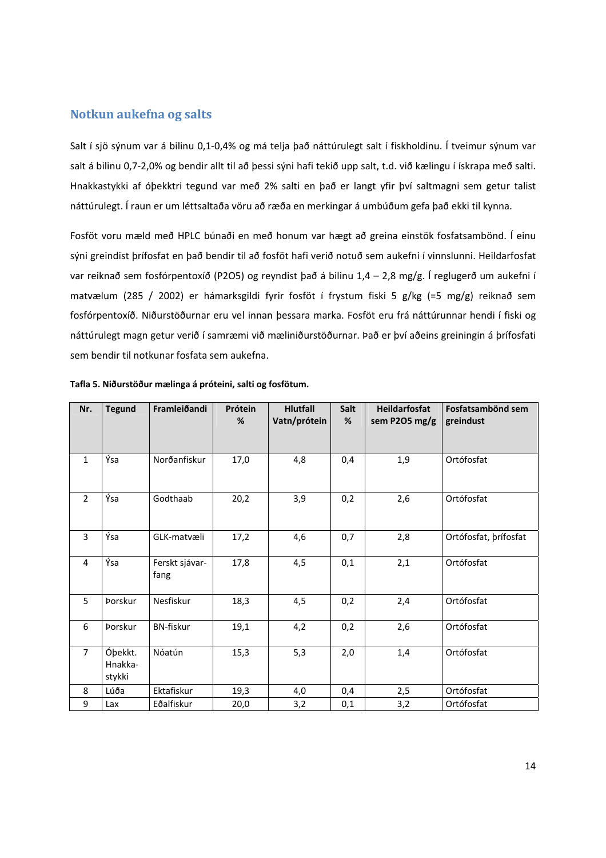#### **Notkun aukefna og salts**

Salt í sjö sýnum var á bilinu 0,1‐0,4% og má telja það náttúrulegt salt í fiskholdinu. Í tveimur sýnum var salt á bilinu 0,7‐2,0% og bendir allt til að þessi sýni hafi tekið upp salt, t.d. við kælingu í ískrapa með salti. Hnakkastykki af óþekktri tegund var með 2% salti en það er langt yfir því saltmagni sem getur talist náttúrulegt. Í raun er um léttsaltaða vöru að ræða en merkingar á umbúðum gefa það ekki til kynna.

Fosföt voru mæld með HPLC búnaði en með honum var hægt að greina einstök fosfatsambönd. Í einu sýni greindist þrífosfat en það bendir til að fosföt hafi verið notuð sem aukefni í vinnslunni. Heildarfosfat var reiknað sem fosfórpentoxíð (P2O5) og reyndist það á bilinu 1,4 – 2,8 mg/g. Í reglugerð um aukefni í matvælum (285 / 2002) er hámarksgildi fyrir fosföt í frystum fiski 5 g/kg (=5 mg/g) reiknað sem fosfórpentoxíð. Niðurstöðurnar eru vel innan þessara marka. Fosföt eru frá náttúrunnar hendi í fiski og náttúrulegt magn getur verið í samræmi við mæliniðurstöðurnar. Það er því aðeins greiningin á þrífosfati sem bendir til notkunar fosfata sem aukefna.

| Nr.            | <b>Tegund</b>                | Framleiðandi           | Prótein<br>% | <b>Hlutfall</b><br>Vatn/prótein | Salt<br>% | <b>Heildarfosfat</b><br>sem P2O5 mg/g | Fosfatsambönd sem<br>greindust |
|----------------|------------------------------|------------------------|--------------|---------------------------------|-----------|---------------------------------------|--------------------------------|
| $\mathbf{1}$   | Ýsa                          | Norðanfiskur           | 17,0         | 4,8                             | 0,4       | 1,9                                   | Ortófosfat                     |
| $\overline{2}$ | Ýsa                          | Godthaab               | 20,2         | 3,9                             | 0,2       | 2,6                                   | Ortófosfat                     |
| 3              | Ýsa                          | GLK-matvæli            | 17,2         | 4,6                             | 0,7       | 2,8                                   | Ortófosfat, prífosfat          |
| 4              | Ýsa                          | Ferskt sjávar-<br>fang | 17,8         | 4,5                             | 0,1       | 2,1                                   | Ortófosfat                     |
| 5              | Þorskur                      | Nesfiskur              | 18,3         | 4,5                             | 0,2       | 2,4                                   | Ortófosfat                     |
| 6              | <b>Porskur</b>               | <b>BN-fiskur</b>       | 19,1         | 4,2                             | 0,2       | 2,6                                   | Ortófosfat                     |
| $\overline{7}$ | Óþekkt.<br>Hnakka-<br>stykki | Nóatún                 | 15,3         | 5,3                             | 2,0       | 1,4                                   | Ortófosfat                     |
| 8              | Lúða                         | Ektafiskur             | 19,3         | 4,0                             | 0,4       | 2,5                                   | Ortófosfat                     |
| 9              | Lax                          | Eðalfiskur             | 20,0         | 3,2                             | 0,1       | 3,2                                   | Ortófosfat                     |

|  |  |  | Tafla 5. Niðurstöður mælinga á próteini, salti og fosfötum. |
|--|--|--|-------------------------------------------------------------|
|--|--|--|-------------------------------------------------------------|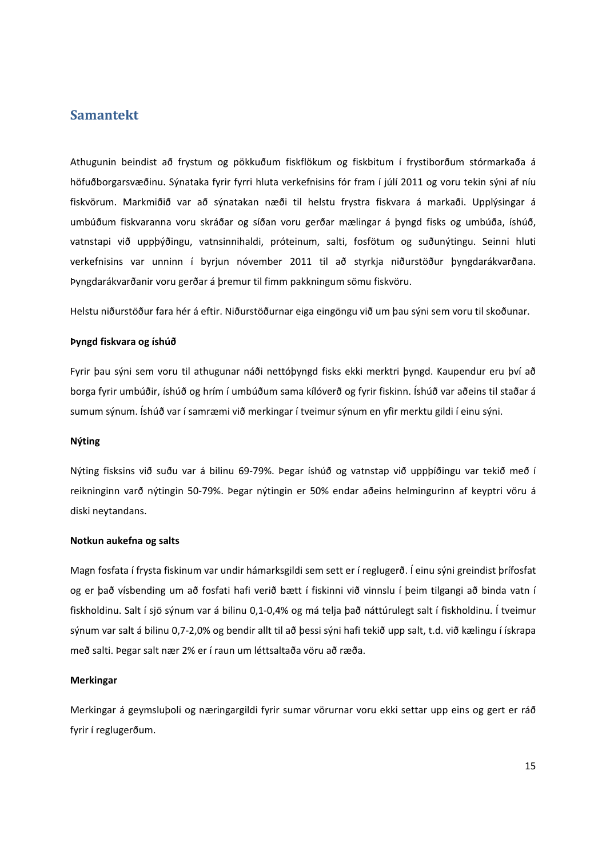#### **Samantekt**

Athugunin beindist að frystum og pökkuðum fiskflökum og fiskbitum í frystiborðum stórmarkaða á höfuðborgarsvæðinu. Sýnataka fyrir fyrri hluta verkefnisins fór fram í júlí 2011 og voru tekin sýni af níu fiskvörum. Markmiðið var að sýnatakan næði til helstu frystra fiskvara á markaði. Upplýsingar á umbúðum fiskvaranna voru skráðar og síðan voru gerðar mælingar á þyngd fisks og umbúða, íshúð, vatnstapi við uppþýðingu, vatnsinnihaldi, próteinum, salti, fosfötum og suðunýtingu. Seinni hluti verkefnisins var unninn í byrjun nóvember 2011 til að styrkja niðurstöður þyngdarákvarðana. Þyngdarákvarðanir voru gerðar á þremur til fimm pakkningum sömu fiskvöru.

Helstu niðurstöður fara hér á eftir. Niðurstöðurnar eiga eingöngu við um þau sýni sem voru til skoðunar.

#### **Þyngd fiskvara og íshúð**

Fyrir þau sýni sem voru til athugunar náði nettóþyngd fisks ekki merktri þyngd. Kaupendur eru því að borga fyrir umbúðir, íshúð og hrím í umbúðum sama kílóverð og fyrir fiskinn. Íshúð var aðeins til staðar á sumum sýnum. Íshúð var í samræmi við merkingar í tveimur sýnum en yfir merktu gildi í einu sýni.

#### **Nýting**

Nýting fisksins við suðu var á bilinu 69‐79%. Þegar íshúð og vatnstap við uppþíðingu var tekið með í reikninginn varð nýtingin 50‐79%. Þegar nýtingin er 50% endar aðeins helmingurinn af keyptri vöru á diski neytandans.

#### **Notkun aukefna og salts**

Magn fosfata í frysta fiskinum var undir hámarksgildi sem sett er í reglugerð. Í einu sýni greindist þrífosfat og er það vísbending um að fosfati hafi verið bætt í fiskinni við vinnslu í þeim tilgangi að binda vatn í fiskholdinu. Salt í sjö sýnum var á bilinu 0,1‐0,4% og má telja það náttúrulegt salt í fiskholdinu. Í tveimur sýnum var salt á bilinu 0,7‐2,0% og bendir allt til að þessi sýni hafi tekið upp salt, t.d. við kælingu í ískrapa með salti. Þegar salt nær 2% er í raun um léttsaltaða vöru að ræða.

#### **Merkingar**

Merkingar á geymsluþoli og næringargildi fyrir sumar vörurnar voru ekki settar upp eins og gert er ráð fyrir í reglugerðum.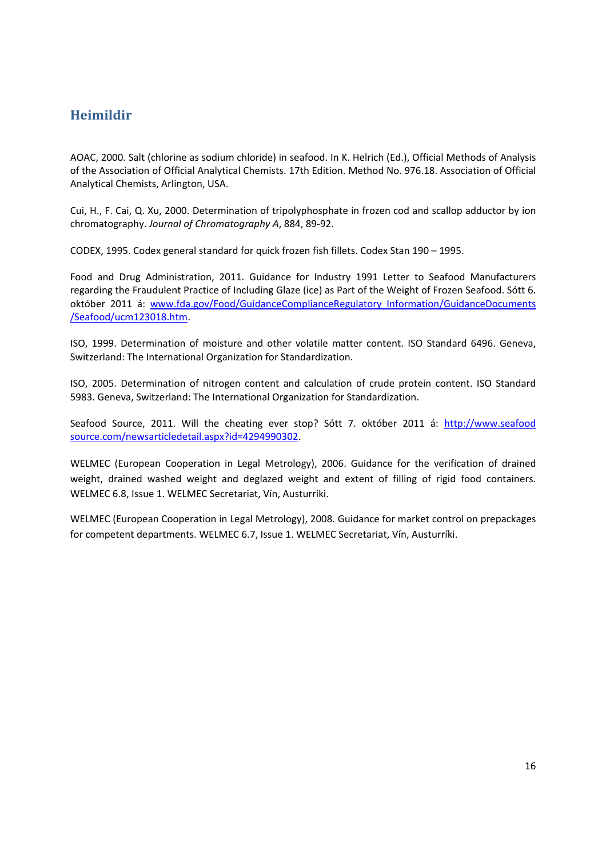## **Heimildir**

AOAC, 2000. Salt (chlorine as sodium chloride) in seafood. In K. Helrich (Ed.), Official Methods of Analysis of the Association of Official Analytical Chemists. 17th Edition. Method No. 976.18. Association of Official Analytical Chemists, Arlington, USA.

Cui, H., F. Cai, Q. Xu, 2000. Determination of tripolyphosphate in frozen cod and scallop adductor by ion chromatography. *Journal of Chromatography A*, 884, 89‐92.

CODEX, 1995. Codex general standard for quick frozen fish fillets. Codex Stan 190 – 1995.

Food and Drug Administration, 2011. Guidance for Industry 1991 Letter to Seafood Manufacturers regarding the Fraudulent Practice of Including Glaze (ice) as Part of the Weight of Frozen Seafood. Sótt 6. október 2011 á: www.fda.gov/Food/GuidanceComplianceRegulatory Information/GuidanceDocuments /Seafood/ucm123018.htm.

ISO, 1999. Determination of moisture and other volatile matter content. ISO Standard 6496. Geneva, Switzerland: The International Organization for Standardization.

ISO, 2005. Determination of nitrogen content and calculation of crude protein content. ISO Standard 5983. Geneva, Switzerland: The International Organization for Standardization.

Seafood Source, 2011. Will the cheating ever stop? Sótt 7. október 2011 á: http://www.seafood source.com/newsarticledetail.aspx?id=4294990302.

WELMEC (European Cooperation in Legal Metrology), 2006. Guidance for the verification of drained weight, drained washed weight and deglazed weight and extent of filling of rigid food containers. WELMEC 6.8, Issue 1. WELMEC Secretariat, Vín, Austurríki.

WELMEC (European Cooperation in Legal Metrology), 2008. Guidance for market control on prepackages for competent departments. WELMEC 6.7, Issue 1. WELMEC Secretariat, Vín, Austurríki.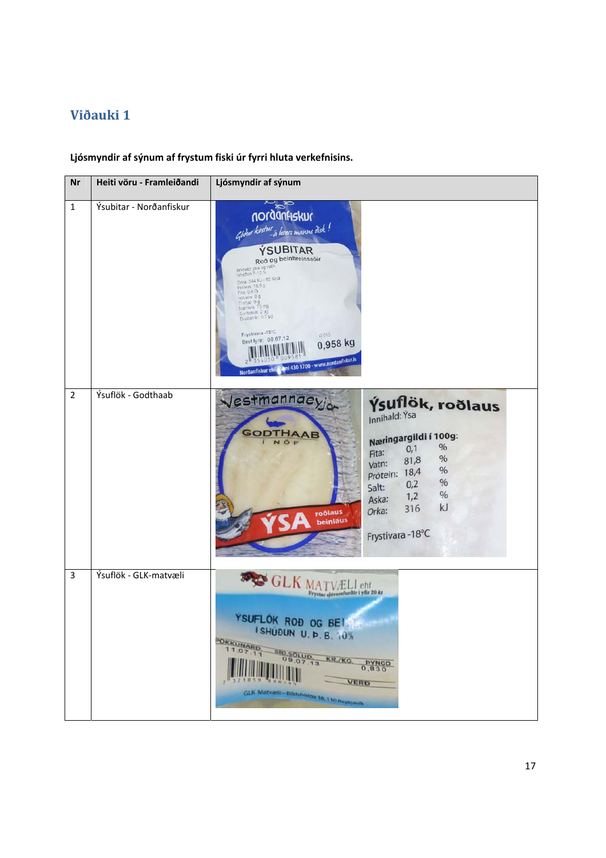# **Viðauki 1**

**Ljósmyndir af sýnum af frystum fiski úr fyrri hluta verkefnisins.** 

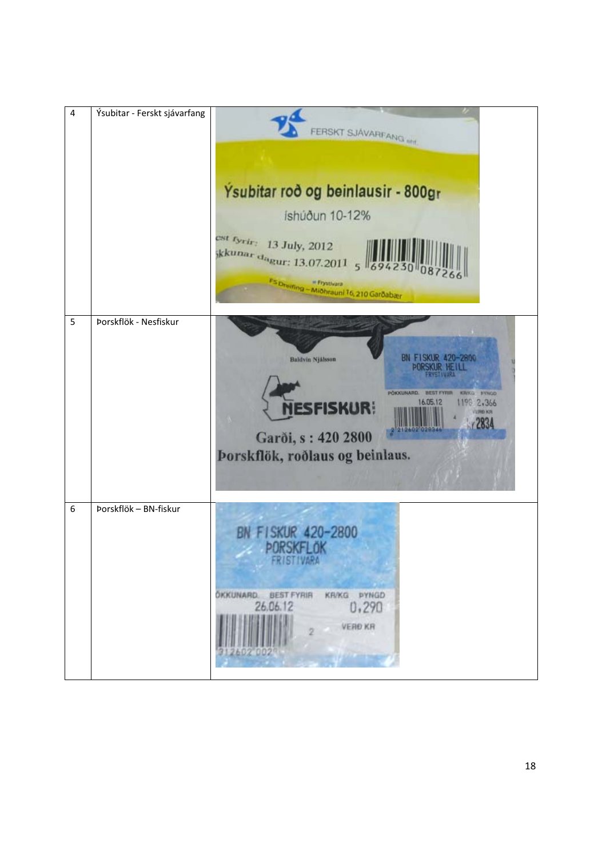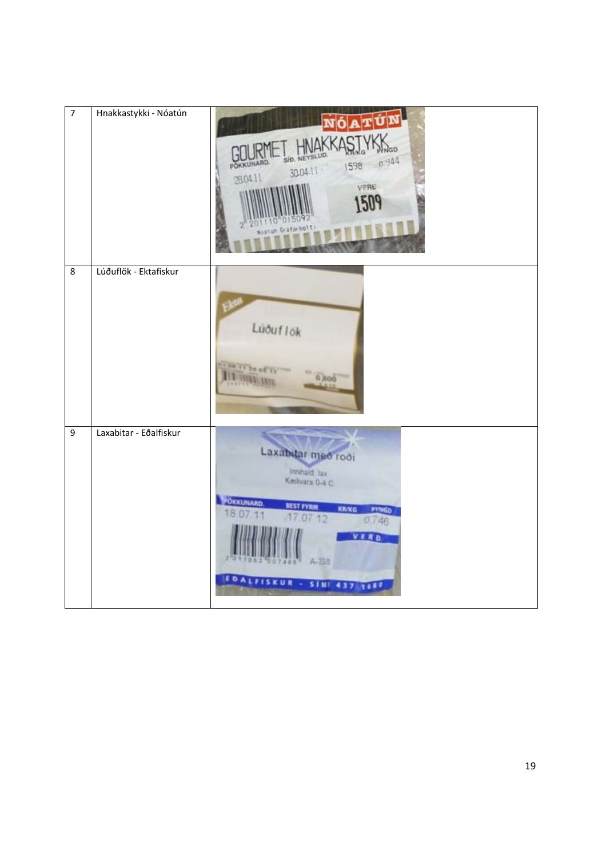| $\overline{7}$   | Hnakkastykki - Nóatún  | GD<br>SID, NEYSLUD,<br>0.944<br>OKKUNARD.<br>1598<br>30.04.11<br>28.04.11<br>VERD.<br>Nastun Grafarholti                                                                              |
|------------------|------------------------|---------------------------------------------------------------------------------------------------------------------------------------------------------------------------------------|
| $\bf 8$          | Lúðuflök - Ektafiskur  | Lúðuflök<br>ou is bo of it<br>0,800                                                                                                                                                   |
| $\boldsymbol{9}$ | Laxabitar - Eðalfiskur | Laxabitar med rodi<br>Innhald lax<br>Kielvara 0-4 C<br>POKKUNARD<br><b>BEST FYRIR</b><br>KR/KG<br><b>PYNGO</b><br>18.<br>0712<br>0,746<br>VERD<br>A-338<br>EDALFISKUR - SINI 437 1680 |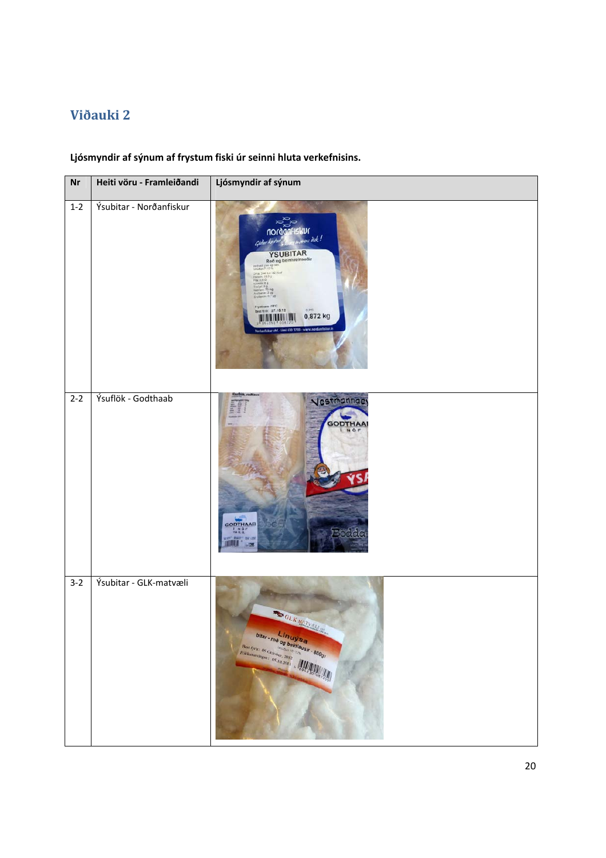# **Viðauki 2**

## **Ljósmyndir af sýnum af frystum fiski úr seinni hluta verkefnisins.**

| Nr      | Heiti vöru - Framleiðandi | Ljósmyndir af sýnum                                                                                                                                                                                  |
|---------|---------------------------|------------------------------------------------------------------------------------------------------------------------------------------------------------------------------------------------------|
| $1 - 2$ | Ýsubitar - Norðanfiskur   | ии<br>ns dick!<br>YSUBITAR<br>Roð og beinhreinsaðir<br>izútiz<br>218 344 KJ / 82 Kcs<br>15.90<br>FINAL 03.61 CA<br>Frystivara -18°C<br>Best fyrir: 27.10.12<br>0.015<br>0,872 kg<br><b>ALLINIANI</b> |
| $2 - 2$ | Ýsuflök - Godthaab        | Vestmannaey<br><b>GODTHAA</b><br>NOF<br>GODTHAAB<br><b>INOF</b><br><b>DATE: (20)</b><br>$+1285$                                                                                                      |
| $3-2$   | Ýsubitar - GLK-matvæli    | <b>SOLK MATVALLIN</b><br><b>bltar - roo og beinlausir - 800gr</b><br>Post fyrir: OS CN rawr, 2012                                                                                                    |